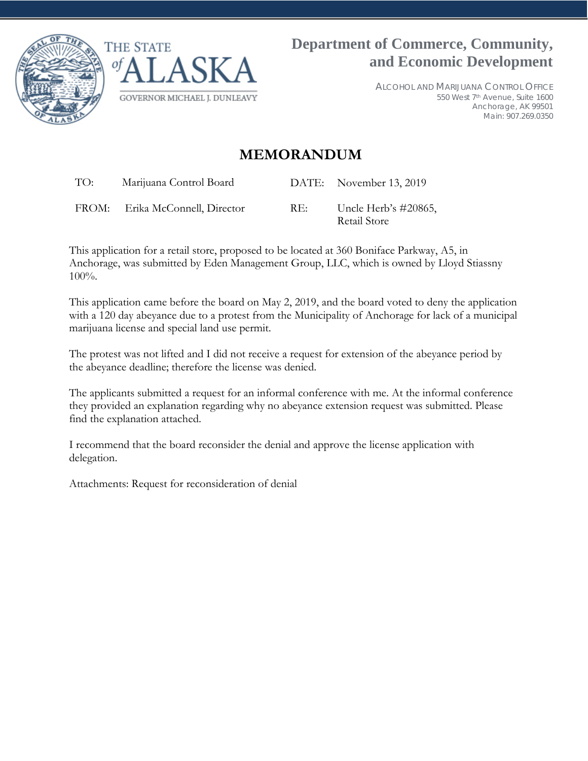



ALCOHOL AND MARIJUANA CONTROL OFFICE 550 West 7th Avenue, Suite 1600 Anchorage, AK 99501 Main: 907.269.0350

## **MEMORANDUM**

TO: Marijuana Control Board DATE: November 13, 2019

FROM: Erika McConnell, Director RE: Uncle Herb's #20865,

Retail Store

This application for a retail store, proposed to be located at 360 Boniface Parkway, A5, in Anchorage, was submitted by Eden Management Group, LLC, which is owned by Lloyd Stiassny 100%.

This application came before the board on May 2, 2019, and the board voted to deny the application with a 120 day abeyance due to a protest from the Municipality of Anchorage for lack of a municipal marijuana license and special land use permit.

The protest was not lifted and I did not receive a request for extension of the abeyance period by the abeyance deadline; therefore the license was denied.

The applicants submitted a request for an informal conference with me. At the informal conference they provided an explanation regarding why no abeyance extension request was submitted. Please find the explanation attached.

I recommend that the board reconsider the denial and approve the license application with delegation.

Attachments: Request for reconsideration of denial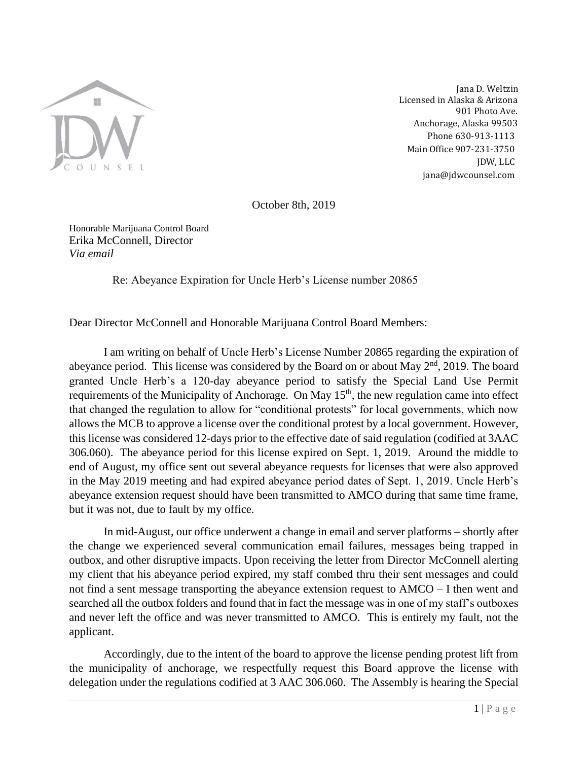

Jana D. Weltzin Licensed in Alaska & Arizona 901 Photo Ave. Anchorage, Alaska 99503 Phone 630-913-1113 Main Office 907-231-3750 JDW, LLC jana@jdwcounsel.com

October 8th, 2019

Honorable Marijuana Control Board Erika McConnell, Director *Via email* 

Re: Abeyance Expiration for Uncle Herb's License number 20865

Dear Director McConnell and Honorable Marijuana Control Board Members:

I am writing on behalf of Uncle Herb's License Number 20865 regarding the expiration of abeyance period. This license was considered by the Board on or about May  $2<sup>nd</sup>$ , 2019. The board granted Uncle Herb's a 120-day abeyance period to satisfy the Special Land Use Permit requirements of the Municipality of Anchorage. On May 15<sup>th</sup>, the new regulation came into effect that changed the regulation to allow for "conditional protests" for local governments, which now allows the MCB to approve a license over the conditional protest by a local government. However, this license was considered 12-days prior to the effective date of said regulation (codified at 3AAC 306.060). The abeyance period for this license expired on Sept. 1, 2019. Around the middle to end of August, my office sent out several abeyance requests for licenses that were also approved in the May 2019 meeting and had expired abeyance period dates of Sept. 1, 2019. Uncle Herb's abeyance extension request should have been transmitted to AMCO during that same time frame, but it was not, due to fault by my office.

In mid-August, our office underwent a change in email and server platforms – shortly after the change we experienced several communication email failures, messages being trapped in outbox, and other disruptive impacts. Upon receiving the letter from Director McConnell alerting my client that his abeyance period expired, my staff combed thru their sent messages and could not find a sent message transporting the abeyance extension request to AMCO – I then went and searched all the outbox folders and found that in fact the message was in one of my staff's outboxes and never left the office and was never transmitted to AMCO. This is entirely my fault, not the applicant.

Accordingly, due to the intent of the board to approve the license pending protest lift from the municipality of anchorage, we respectfully request this Board approve the license with delegation under the regulations codified at 3 AAC 306.060. The Assembly is hearing the Special